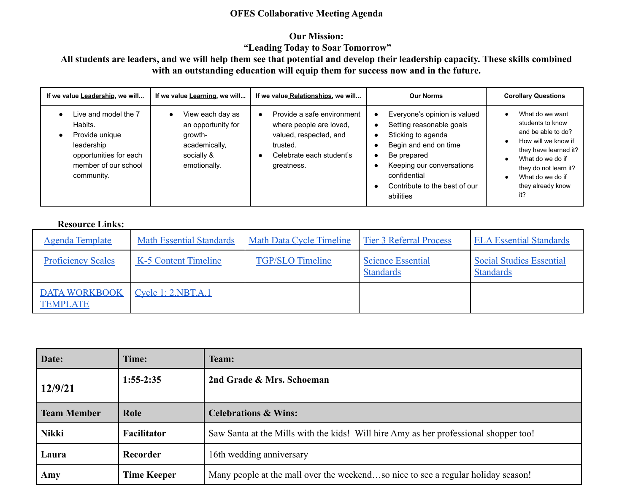### **OFES Collaborative Meeting Agenda**

## **Our Mission:**

# **"Leading Today to Soar Tomorrow"**

## **All students are leaders, and we will help them see that potential and develop their leadership capacity. These skills combined with an outstanding education will equip them for success now and in the future.**

| If we value Leadership, we will                                                                                                 | If we value Learning, we will                                                                    | If we value Relationships, we will                                                                                                                 | <b>Our Norms</b>                                                                                                                                                                                                       | <b>Corollary Questions</b>                                                                                                                                                                             |
|---------------------------------------------------------------------------------------------------------------------------------|--------------------------------------------------------------------------------------------------|----------------------------------------------------------------------------------------------------------------------------------------------------|------------------------------------------------------------------------------------------------------------------------------------------------------------------------------------------------------------------------|--------------------------------------------------------------------------------------------------------------------------------------------------------------------------------------------------------|
| Live and model the 7<br>Habits.<br>Provide unique<br>leadership<br>opportunities for each<br>member of our school<br>community. | View each day as<br>an opportunity for<br>growth-<br>academically,<br>socially &<br>emotionally. | Provide a safe environment<br>$\bullet$<br>where people are loved,<br>valued, respected, and<br>trusted.<br>Celebrate each student's<br>greatness. | Everyone's opinion is valued<br>٠<br>Setting reasonable goals<br>Sticking to agenda<br>Begin and end on time<br>Be prepared<br>Keeping our conversations<br>confidential<br>Contribute to the best of our<br>abilities | What do we want<br>students to know<br>and be able to do?<br>How will we know if<br>they have learned it?<br>What do we do if<br>they do not learn it?<br>What do we do if<br>they already know<br>it? |

#### **Resource Links:**

| <b>Agenda Template</b>                  | <b>Math Essential Standards</b> | <b>Math Data Cycle Timeline</b> | <b>Tier 3 Referral Process</b>               | <b>ELA Essential Standards</b>                      |
|-----------------------------------------|---------------------------------|---------------------------------|----------------------------------------------|-----------------------------------------------------|
| <b>Proficiency Scales</b>               | K-5 Content Timeline            | <b>TGP/SLO Timeline</b>         | <b>Science Essential</b><br><b>Standards</b> | <b>Social Studies Essential</b><br><b>Standards</b> |
| <b>DATA WORKBOOK</b><br><b>TEMPLATE</b> | <u>Cycle 1: 2.NBT.A.1</u>       |                                 |                                              |                                                     |

| Date:              | Time:              | <b>Team:</b>                                                                         |
|--------------------|--------------------|--------------------------------------------------------------------------------------|
| 12/9/21            | $1:55-2:35$        | 2nd Grade & Mrs. Schoeman                                                            |
| <b>Team Member</b> | Role               | <b>Celebrations &amp; Wins:</b>                                                      |
| <b>Nikki</b>       | Facilitator        | Saw Santa at the Mills with the kids! Will hire Amy as her professional shopper too! |
| Laura              | Recorder           | 16th wedding anniversary                                                             |
| Amy                | <b>Time Keeper</b> | Many people at the mall over the weekendso nice to see a regular holiday season!     |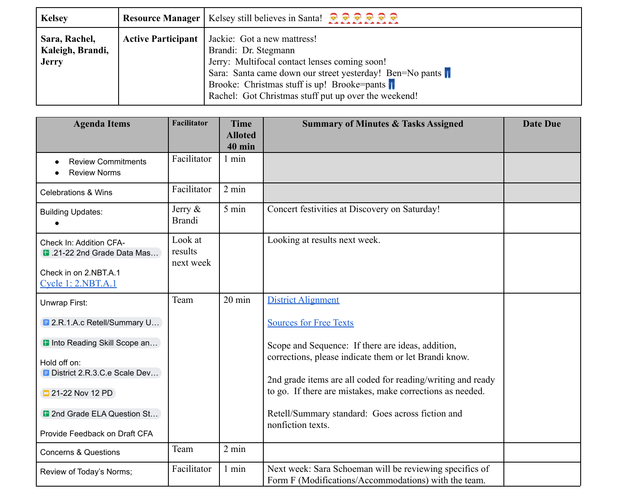| <b>Kelsey</b>                                     |                           | Resource Manager   Kelsey still believes in Santa! $\bigcirc \bigcirc \bigcirc \bigcirc \bigcirc \bigcirc \bigcirc$                                                                                                                                                     |
|---------------------------------------------------|---------------------------|-------------------------------------------------------------------------------------------------------------------------------------------------------------------------------------------------------------------------------------------------------------------------|
| Sara, Rachel,<br>Kaleigh, Brandi,<br><b>Jerry</b> | <b>Active Participant</b> | Jackie: Got a new mattress!<br>Brandi: Dr. Stegmann<br>Jerry: Multifocal contact lenses coming soon!<br>Sara: Santa came down our street yesterday! Ben=No pants<br>Brooke: Christmas stuff is up! Brooke=pants<br>Rachel: Got Christmas stuff put up over the weekend! |

| <b>Agenda Items</b>                                                                                  | <b>Facilitator</b>              | <b>Time</b><br><b>Alloted</b> | <b>Summary of Minutes &amp; Tasks Assigned</b>                                                                  | <b>Date Due</b> |
|------------------------------------------------------------------------------------------------------|---------------------------------|-------------------------------|-----------------------------------------------------------------------------------------------------------------|-----------------|
|                                                                                                      |                                 | $40$ min                      |                                                                                                                 |                 |
| <b>Review Commitments</b><br><b>Review Norms</b>                                                     | Facilitator                     | $1$ min                       |                                                                                                                 |                 |
| <b>Celebrations &amp; Wins</b>                                                                       | Facilitator                     | $2 \text{ min}$               |                                                                                                                 |                 |
| <b>Building Updates:</b>                                                                             | Jerry $\&$<br><b>Brandi</b>     | 5 min                         | Concert festivities at Discovery on Saturday!                                                                   |                 |
| Check In: Addition CFA-<br>1.21-22 2nd Grade Data Mas<br>Check in on 2.NBT.A.1<br>Cycle 1: 2.NBT.A.1 | Look at<br>results<br>next week |                               | Looking at results next week.                                                                                   |                 |
| Unwrap First:                                                                                        | Team                            | $20 \text{ min}$              | <b>District Alignment</b>                                                                                       |                 |
| <b>E</b> 2.R.1.A.c Retell/Summary U                                                                  |                                 |                               | <b>Sources for Free Texts</b>                                                                                   |                 |
| <b>D</b> Into Reading Skill Scope an                                                                 |                                 |                               | Scope and Sequence: If there are ideas, addition,                                                               |                 |
| Hold off on:                                                                                         |                                 |                               | corrections, please indicate them or let Brandi know.                                                           |                 |
| District 2.R.3.C.e Scale Dev                                                                         |                                 |                               | 2nd grade items are all coded for reading/writing and ready                                                     |                 |
| 21-22 Nov 12 PD                                                                                      |                                 |                               | to go. If there are mistakes, make corrections as needed.                                                       |                 |
| 12nd Grade ELA Question St                                                                           |                                 |                               | Retell/Summary standard: Goes across fiction and                                                                |                 |
| Provide Feedback on Draft CFA                                                                        |                                 |                               | nonfiction texts.                                                                                               |                 |
| <b>Concerns &amp; Questions</b>                                                                      | Team                            | 2 min                         |                                                                                                                 |                 |
| Review of Today's Norms;                                                                             | Facilitator                     | $1$ min                       | Next week: Sara Schoeman will be reviewing specifics of<br>Form F (Modifications/Accommodations) with the team. |                 |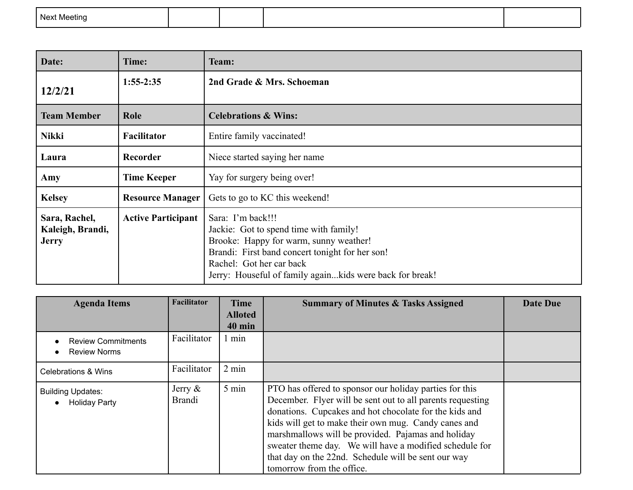|  | Next<br>Meetina |  |  |  |  |
|--|-----------------|--|--|--|--|
|--|-----------------|--|--|--|--|

| Date:                                             | Time:                     | Team:                                                                                                                                                                                                                                            |
|---------------------------------------------------|---------------------------|--------------------------------------------------------------------------------------------------------------------------------------------------------------------------------------------------------------------------------------------------|
| 12/2/21                                           | $1:55-2:35$               | 2nd Grade & Mrs. Schoeman                                                                                                                                                                                                                        |
| <b>Team Member</b>                                | Role                      | <b>Celebrations &amp; Wins:</b>                                                                                                                                                                                                                  |
| <b>Nikki</b>                                      | <b>Facilitator</b>        | Entire family vaccinated!                                                                                                                                                                                                                        |
| Laura                                             | Recorder                  | Niece started saying her name                                                                                                                                                                                                                    |
| Amy                                               | <b>Time Keeper</b>        | Yay for surgery being over!                                                                                                                                                                                                                      |
| <b>Kelsey</b>                                     | <b>Resource Manager</b>   | Gets to go to KC this weekend!                                                                                                                                                                                                                   |
| Sara, Rachel,<br>Kaleigh, Brandi,<br><b>Jerry</b> | <b>Active Participant</b> | Sara: I'm back!!!<br>Jackie: Got to spend time with family!<br>Brooke: Happy for warm, sunny weather!<br>Brandi: First band concert tonight for her son!<br>Rachel: Got her car back<br>Jerry: Houseful of family againkids were back for break! |

| <b>Agenda Items</b>                                           | Facilitator                 | <b>Time</b><br><b>Alloted</b><br><b>40 min</b> | <b>Summary of Minutes &amp; Tasks Assigned</b>                                                                                                                                                                                                                                                                                                                                                                                               | <b>Date Due</b> |
|---------------------------------------------------------------|-----------------------------|------------------------------------------------|----------------------------------------------------------------------------------------------------------------------------------------------------------------------------------------------------------------------------------------------------------------------------------------------------------------------------------------------------------------------------------------------------------------------------------------------|-----------------|
| <b>Review Commitments</b><br><b>Review Norms</b><br>$\bullet$ | Facilitator                 | min                                            |                                                                                                                                                                                                                                                                                                                                                                                                                                              |                 |
| <b>Celebrations &amp; Wins</b>                                | Facilitator                 | $2 \text{ min}$                                |                                                                                                                                                                                                                                                                                                                                                                                                                                              |                 |
| <b>Building Updates:</b><br><b>Holiday Party</b>              | Jerry $\&$<br><b>Brandi</b> | $5 \text{ min}$                                | PTO has offered to sponsor our holiday parties for this<br>December. Flyer will be sent out to all parents requesting<br>donations. Cupcakes and hot chocolate for the kids and<br>kids will get to make their own mug. Candy canes and<br>marshmallows will be provided. Pajamas and holiday<br>sweater theme day. We will have a modified schedule for<br>that day on the 22nd. Schedule will be sent our way<br>tomorrow from the office. |                 |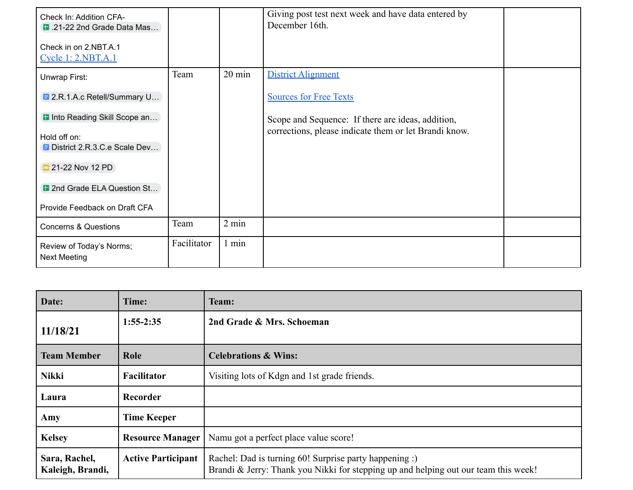| Check In: Addition CFA-<br>1.21-22 2nd Grade Data Mas<br>Check in on 2.NBT.A.1<br>Cycle 1: 2.NBT.A.1                                                                                                                           |             |                  | Giving post test next week and have data entered by<br>December 16th.                                                                                                    |  |
|--------------------------------------------------------------------------------------------------------------------------------------------------------------------------------------------------------------------------------|-------------|------------------|--------------------------------------------------------------------------------------------------------------------------------------------------------------------------|--|
| Unwrap First:<br><b>E</b> 2.R.1.A.c Retell/Summary U<br><b>D</b> Into Reading Skill Scope an<br>Hold off on:<br>District 2.R.3.C.e Scale Dev<br>21-22 Nov 12 PD<br>12nd Grade ELA Question St<br>Provide Feedback on Draft CFA | Team        | $20 \text{ min}$ | <b>District Alignment</b><br><b>Sources for Free Texts</b><br>Scope and Sequence: If there are ideas, addition,<br>corrections, please indicate them or let Brandi know. |  |
| <b>Concerns &amp; Questions</b>                                                                                                                                                                                                | Team        | $2 \text{ min}$  |                                                                                                                                                                          |  |
| Review of Today's Norms;<br><b>Next Meeting</b>                                                                                                                                                                                | Facilitator | 1 min            |                                                                                                                                                                          |  |

| Date:                             | Time:                     | Team:                                                                                                                                         |
|-----------------------------------|---------------------------|-----------------------------------------------------------------------------------------------------------------------------------------------|
| 11/18/21                          | $1:55-2:35$               | 2nd Grade & Mrs. Schoeman                                                                                                                     |
| <b>Team Member</b>                | Role                      | <b>Celebrations &amp; Wins:</b>                                                                                                               |
| <b>Nikki</b>                      | Facilitator               | Visiting lots of Kdgn and 1st grade friends.                                                                                                  |
| Laura                             | Recorder                  |                                                                                                                                               |
| Amy                               | <b>Time Keeper</b>        |                                                                                                                                               |
| <b>Kelsey</b>                     | <b>Resource Manager</b>   | Namu got a perfect place value score!                                                                                                         |
| Sara, Rachel,<br>Kaleigh, Brandi, | <b>Active Participant</b> | Rachel: Dad is turning 60! Surprise party happening :)<br>Brandi & Jerry: Thank you Nikki for stepping up and helping out our team this week! |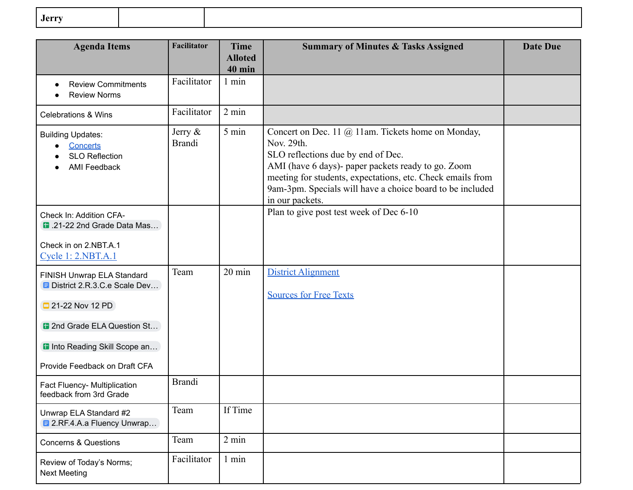| .Jerry |  |  |
|--------|--|--|
|        |  |  |

| <b>Agenda Items</b>                                                                  | <b>Facilitator</b>          | <b>Time</b><br><b>Alloted</b><br>$40$ min | <b>Summary of Minutes &amp; Tasks Assigned</b>                                                                                                                                                                                                                                                             | <b>Date Due</b> |
|--------------------------------------------------------------------------------------|-----------------------------|-------------------------------------------|------------------------------------------------------------------------------------------------------------------------------------------------------------------------------------------------------------------------------------------------------------------------------------------------------------|-----------------|
| <b>Review Commitments</b><br><b>Review Norms</b>                                     | Facilitator                 | 1 min                                     |                                                                                                                                                                                                                                                                                                            |                 |
| <b>Celebrations &amp; Wins</b>                                                       | Facilitator                 | $2 \text{ min}$                           |                                                                                                                                                                                                                                                                                                            |                 |
| <b>Building Updates:</b><br>Concerts<br><b>SLO Reflection</b><br><b>AMI Feedback</b> | Jerry $\&$<br><b>Brandi</b> | 5 min                                     | Concert on Dec. 11 @ 11am. Tickets home on Monday,<br>Nov. 29th.<br>SLO reflections due by end of Dec.<br>AMI (have 6 days)- paper packets ready to go. Zoom<br>meeting for students, expectations, etc. Check emails from<br>9am-3pm. Specials will have a choice board to be included<br>in our packets. |                 |
| Check In: Addition CFA-<br>1.21-22 2nd Grade Data Mas                                |                             |                                           | Plan to give post test week of Dec 6-10                                                                                                                                                                                                                                                                    |                 |
| Check in on 2.NBT.A.1<br>Cycle 1: 2.NBT.A.1                                          |                             |                                           |                                                                                                                                                                                                                                                                                                            |                 |
| FINISH Unwrap ELA Standard<br><b>E</b> District 2.R.3.C.e Scale Dev                  | Team                        | $20 \text{ min}$                          | <b>District Alignment</b><br><b>Sources for Free Texts</b>                                                                                                                                                                                                                                                 |                 |
| 21-22 Nov 12 PD                                                                      |                             |                                           |                                                                                                                                                                                                                                                                                                            |                 |
| <b>a</b> 2nd Grade ELA Question St                                                   |                             |                                           |                                                                                                                                                                                                                                                                                                            |                 |
| <b>D</b> Into Reading Skill Scope an                                                 |                             |                                           |                                                                                                                                                                                                                                                                                                            |                 |
| Provide Feedback on Draft CFA                                                        |                             |                                           |                                                                                                                                                                                                                                                                                                            |                 |
| Fact Fluency- Multiplication<br>feedback from 3rd Grade                              | <b>Brandi</b>               |                                           |                                                                                                                                                                                                                                                                                                            |                 |
| Unwrap ELA Standard #2<br><b>E</b> 2.RF.4.A.a Fluency Unwrap                         | Team                        | If Time                                   |                                                                                                                                                                                                                                                                                                            |                 |
| <b>Concerns &amp; Questions</b>                                                      | Team                        | 2 min                                     |                                                                                                                                                                                                                                                                                                            |                 |
| Review of Today's Norms;<br><b>Next Meeting</b>                                      | Facilitator                 | 1 min                                     |                                                                                                                                                                                                                                                                                                            |                 |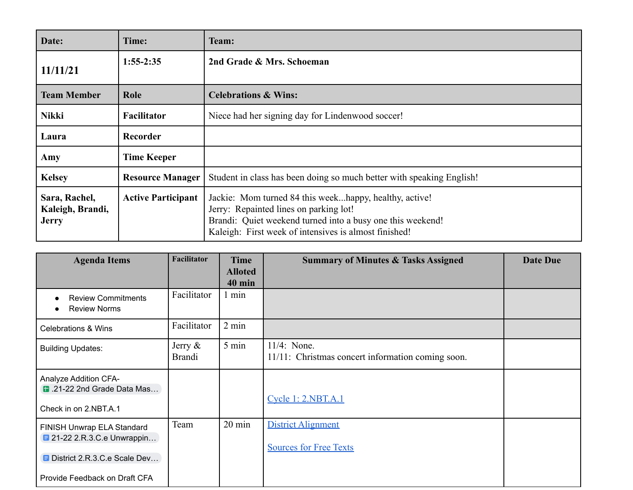| Date:                                             | Time:                     | <b>Team:</b>                                                                                                                                                                                                            |
|---------------------------------------------------|---------------------------|-------------------------------------------------------------------------------------------------------------------------------------------------------------------------------------------------------------------------|
| 11/11/21                                          | $1:55-2:35$               | 2nd Grade & Mrs. Schoeman                                                                                                                                                                                               |
| <b>Team Member</b>                                | Role                      | <b>Celebrations &amp; Wins:</b>                                                                                                                                                                                         |
| <b>Nikki</b>                                      | Facilitator               | Niece had her signing day for Lindenwood soccer!                                                                                                                                                                        |
| Laura                                             | Recorder                  |                                                                                                                                                                                                                         |
| Amy                                               | <b>Time Keeper</b>        |                                                                                                                                                                                                                         |
| <b>Kelsey</b>                                     | <b>Resource Manager</b>   | Student in class has been doing so much better with speaking English!                                                                                                                                                   |
| Sara, Rachel,<br>Kaleigh, Brandi,<br><b>Jerry</b> | <b>Active Participant</b> | Jackie: Mom turned 84 this weekhappy, healthy, active!<br>Jerry: Repainted lines on parking lot!<br>Brandi: Quiet weekend turned into a busy one this weekend!<br>Kaleigh: First week of intensives is almost finished! |

| <b>Agenda Items</b>                                                                              | <b>Facilitator</b>          | <b>Time</b><br><b>Alloted</b> | <b>Summary of Minutes &amp; Tasks Assigned</b>                      | <b>Date Due</b> |
|--------------------------------------------------------------------------------------------------|-----------------------------|-------------------------------|---------------------------------------------------------------------|-----------------|
| <b>Review Commitments</b><br>$\bullet$<br><b>Review Norms</b>                                    | Facilitator                 | <b>40 min</b><br>1 min        |                                                                     |                 |
| <b>Celebrations &amp; Wins</b>                                                                   | Facilitator                 | $2 \text{ min}$               |                                                                     |                 |
| <b>Building Updates:</b>                                                                         | Jerry $\&$<br><b>Brandi</b> | 5 min                         | $11/4$ : None.<br>11/11: Christmas concert information coming soon. |                 |
| Analyze Addition CFA-<br>1.21-22 2nd Grade Data Mas<br>Check in on 2.NBT.A.1                     |                             |                               | Cycle 1: 2.NBT.A.1                                                  |                 |
| FINISH Unwrap ELA Standard<br><b>■ 21-22 2.R.3.C.e Unwrappin</b><br>District 2.R.3.C.e Scale Dev | Team                        | $20 \text{ min}$              | <b>District Alignment</b><br><b>Sources for Free Texts</b>          |                 |
| Provide Feedback on Draft CFA                                                                    |                             |                               |                                                                     |                 |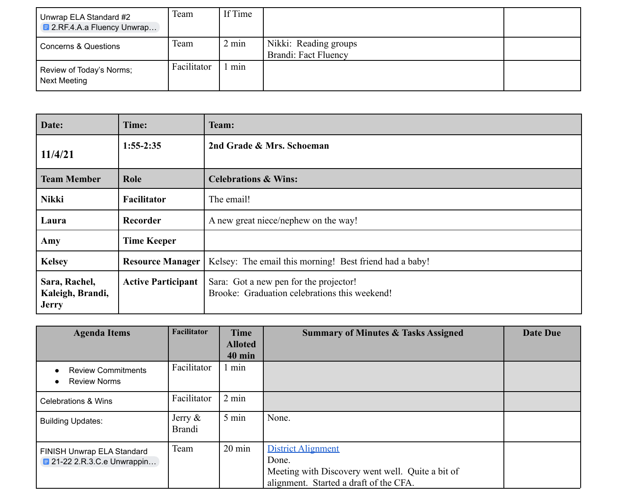| Unwrap ELA Standard #2<br><b>E</b> 2.RF.4.A.a Fluency Unwrap | Team        | If Time         |                                               |  |
|--------------------------------------------------------------|-------------|-----------------|-----------------------------------------------|--|
| Concerns & Questions                                         | Team        | $2 \text{ min}$ | Nikki: Reading groups<br>Brandi: Fact Fluency |  |
| Review of Today's Norms;<br>Next Meeting                     | Facilitator | min             |                                               |  |

| Date:                                             | Time:                     | Team:                                                                                   |
|---------------------------------------------------|---------------------------|-----------------------------------------------------------------------------------------|
| 11/4/21                                           | $1:55-2:35$               | 2nd Grade & Mrs. Schoeman                                                               |
| <b>Team Member</b>                                | Role                      | <b>Celebrations &amp; Wins:</b>                                                         |
| <b>Nikki</b>                                      | <b>Facilitator</b>        | The email!                                                                              |
| Laura                                             | Recorder                  | A new great niece/nephew on the way!                                                    |
| Amy                                               | <b>Time Keeper</b>        |                                                                                         |
| <b>Kelsey</b>                                     | <b>Resource Manager</b>   | Kelsey: The email this morning! Best friend had a baby!                                 |
| Sara, Rachel,<br>Kaleigh, Brandi,<br><b>Jerry</b> | <b>Active Participant</b> | Sara: Got a new pen for the projector!<br>Brooke: Graduation celebrations this weekend! |

| <b>Agenda Items</b>                                                    | Facilitator                 | <b>Time</b>      | <b>Summary of Minutes &amp; Tasks Assigned</b>                                                                                   | <b>Date Due</b> |
|------------------------------------------------------------------------|-----------------------------|------------------|----------------------------------------------------------------------------------------------------------------------------------|-----------------|
|                                                                        |                             | <b>Alloted</b>   |                                                                                                                                  |                 |
|                                                                        |                             | <b>40 min</b>    |                                                                                                                                  |                 |
| <b>Review Commitments</b>                                              | Facilitator                 | 1 min            |                                                                                                                                  |                 |
| <b>Review Norms</b>                                                    |                             |                  |                                                                                                                                  |                 |
| <b>Celebrations &amp; Wins</b>                                         | Facilitator                 | $2 \text{ min}$  |                                                                                                                                  |                 |
| <b>Building Updates:</b>                                               | Jerry $\&$<br><b>Brandi</b> | 5 min            | None.                                                                                                                            |                 |
| FINISH Unwrap ELA Standard<br>$\blacksquare$ 21-22 2.R.3.C.e Unwrappin | Team                        | $20 \text{ min}$ | <b>District Alignment</b><br>Done.<br>Meeting with Discovery went well. Quite a bit of<br>alignment. Started a draft of the CFA. |                 |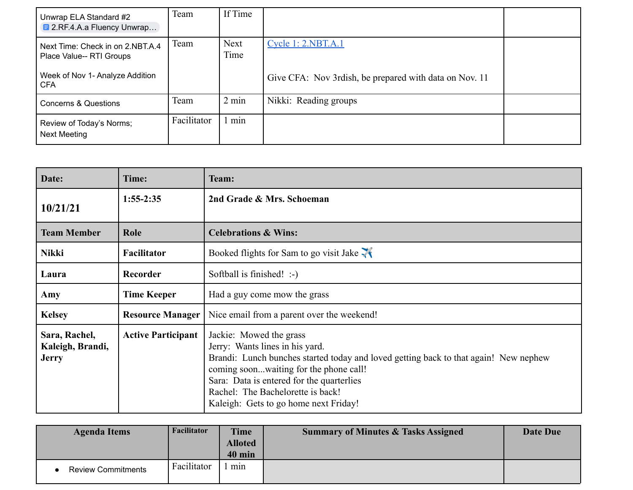| Unwrap ELA Standard #2<br><b>E</b> 2.RF.4.A.a Fluency Unwrap | Team        | If Time             |                                                        |  |
|--------------------------------------------------------------|-------------|---------------------|--------------------------------------------------------|--|
| Next Time: Check in on 2.NBT.A.4<br>Place Value-- RTI Groups | Team        | <b>Next</b><br>Time | <u>Cycle 1: 2.NBT.A.1</u>                              |  |
| Week of Nov 1- Analyze Addition<br><b>CFA</b>                |             |                     | Give CFA: Nov 3rdish, be prepared with data on Nov. 11 |  |
| Concerns & Questions                                         | Team        | $2 \text{ min}$     | Nikki: Reading groups                                  |  |
| Review of Today's Norms;<br><b>Next Meeting</b>              | Facilitator | min                 |                                                        |  |

| Date:                                             | Time:                     | <b>Team:</b>                                                                                                                                                                                                                                                                                                            |  |  |  |
|---------------------------------------------------|---------------------------|-------------------------------------------------------------------------------------------------------------------------------------------------------------------------------------------------------------------------------------------------------------------------------------------------------------------------|--|--|--|
| 10/21/21                                          | $1:55-2:35$               | 2nd Grade & Mrs. Schoeman                                                                                                                                                                                                                                                                                               |  |  |  |
| <b>Team Member</b>                                | Role                      | <b>Celebrations &amp; Wins:</b>                                                                                                                                                                                                                                                                                         |  |  |  |
| <b>Nikki</b>                                      | <b>Facilitator</b>        | Booked flights for Sam to go visit Jake $\mathcal{H}$                                                                                                                                                                                                                                                                   |  |  |  |
| Laura                                             | Recorder                  | Softball is finished! :-)                                                                                                                                                                                                                                                                                               |  |  |  |
| Amy                                               | <b>Time Keeper</b>        | Had a guy come mow the grass                                                                                                                                                                                                                                                                                            |  |  |  |
| <b>Kelsey</b>                                     | <b>Resource Manager</b>   | Nice email from a parent over the weekend!                                                                                                                                                                                                                                                                              |  |  |  |
| Sara, Rachel,<br>Kaleigh, Brandi,<br><b>Jerry</b> | <b>Active Participant</b> | Jackie: Mowed the grass<br>Jerry: Wants lines in his yard.<br>Brandi: Lunch bunches started today and loved getting back to that again! New nephew<br>coming soonwaiting for the phone call!<br>Sara: Data is entered for the quarterlies<br>Rachel: The Bachelorette is back!<br>Kaleigh: Gets to go home next Friday! |  |  |  |

| <b>Agenda Items</b>       | Facilitator | <b>Time</b><br><b>Alloted</b><br>40 min | <b>Summary of Minutes &amp; Tasks Assigned</b> | Date Due |
|---------------------------|-------------|-----------------------------------------|------------------------------------------------|----------|
| <b>Review Commitments</b> | Facilitator | min                                     |                                                |          |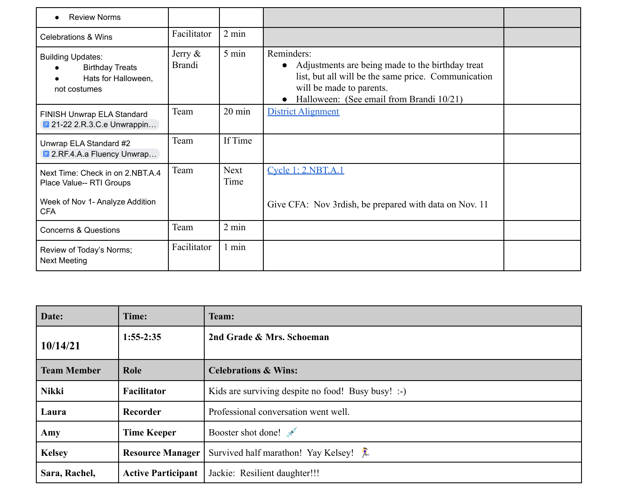| <b>Review Norms</b>                                                                       |                             |                  |                                                                                                                                                                                               |  |
|-------------------------------------------------------------------------------------------|-----------------------------|------------------|-----------------------------------------------------------------------------------------------------------------------------------------------------------------------------------------------|--|
| <b>Celebrations &amp; Wins</b>                                                            | Facilitator                 | $2 \text{ min}$  |                                                                                                                                                                                               |  |
| <b>Building Updates:</b><br><b>Birthday Treats</b><br>Hats for Halloween,<br>not costumes | Jerry $\&$<br><b>Brandi</b> | 5 min            | Reminders:<br>Adjustments are being made to the birthday treat<br>list, but all will be the same price. Communication<br>will be made to parents.<br>Halloween: (See email from Brandi 10/21) |  |
| FINISH Unwrap ELA Standard<br><b>■ 21-22 2.R.3.C.e Unwrappin</b>                          | Team                        | $20 \text{ min}$ | District Alignment                                                                                                                                                                            |  |
| Unwrap ELA Standard #2<br><b>E</b> 2.RF.4.A.a Fluency Unwrap                              | Team                        | If Time          |                                                                                                                                                                                               |  |
| Next Time: Check in on 2.NBT.A.4<br>Place Value-- RTI Groups                              | Team                        | Next<br>Time     | Cycle 1: 2.NBT.A.1                                                                                                                                                                            |  |
| Week of Nov 1- Analyze Addition<br><b>CFA</b>                                             |                             |                  | Give CFA: Nov 3rdish, be prepared with data on Nov. 11                                                                                                                                        |  |
| <b>Concerns &amp; Questions</b>                                                           | Team                        | $2 \text{ min}$  |                                                                                                                                                                                               |  |
| Review of Today's Norms;<br><b>Next Meeting</b>                                           | Facilitator                 | $1$ min          |                                                                                                                                                                                               |  |

| Date:              | Time:                     | <b>Team:</b>                                       |
|--------------------|---------------------------|----------------------------------------------------|
| 10/14/21           | $1:55-2:35$               | 2nd Grade & Mrs. Schoeman                          |
| <b>Team Member</b> | Role                      | <b>Celebrations &amp; Wins:</b>                    |
| <b>Nikki</b>       | Facilitator               | Kids are surviving despite no food! Busy busy! :-) |
| Laura              | Recorder                  | Professional conversation went well.               |
| Amy                | <b>Time Keeper</b>        | Booster shot done!                                 |
| <b>Kelsey</b>      | <b>Resource Manager</b>   | Survived half marathon! Yay Kelsey!                |
| Sara, Rachel,      | <b>Active Participant</b> | Jackie: Resilient daughter!!!                      |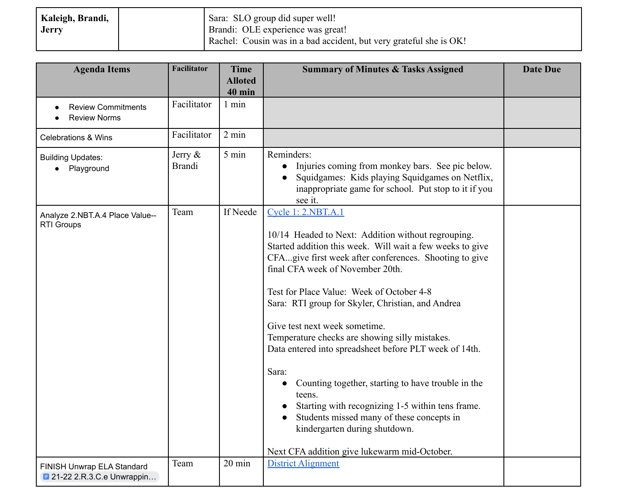| Kaleigh, Brandi, | Sara: SLO group did super well!                                     |
|------------------|---------------------------------------------------------------------|
| <b>Jerry</b>     | Brandi: OLE experience was great!                                   |
|                  | (Rachel: Cousin was in a bad accident, but very grateful she is OK! |

| <b>Agenda Items</b>                                              | <b>Facilitator</b>          | <b>Time</b><br><b>Alloted</b> | <b>Summary of Minutes &amp; Tasks Assigned</b>                                                                                                                                                                                                                                                                                                                                                                                                                                                                                                                                                                                                                                                                                                | <b>Date Due</b> |
|------------------------------------------------------------------|-----------------------------|-------------------------------|-----------------------------------------------------------------------------------------------------------------------------------------------------------------------------------------------------------------------------------------------------------------------------------------------------------------------------------------------------------------------------------------------------------------------------------------------------------------------------------------------------------------------------------------------------------------------------------------------------------------------------------------------------------------------------------------------------------------------------------------------|-----------------|
| <b>Review Commitments</b><br><b>Review Norms</b>                 | Facilitator                 | <b>40 min</b><br>1 min        |                                                                                                                                                                                                                                                                                                                                                                                                                                                                                                                                                                                                                                                                                                                                               |                 |
| <b>Celebrations &amp; Wins</b>                                   | Facilitator                 | 2 min                         |                                                                                                                                                                                                                                                                                                                                                                                                                                                                                                                                                                                                                                                                                                                                               |                 |
| <b>Building Updates:</b><br>Playground                           | Jerry $\&$<br><b>Brandi</b> | 5 min                         | Reminders:<br>• Injuries coming from monkey bars. See pic below.<br>Squidgames: Kids playing Squidgames on Netflix,<br>$\bullet$<br>inappropriate game for school. Put stop to it if you<br>see it.                                                                                                                                                                                                                                                                                                                                                                                                                                                                                                                                           |                 |
| Analyze 2.NBT.A.4 Place Value--<br><b>RTI Groups</b>             | Team                        | If Neede                      | Cycle 1: 2.NBT.A.1<br>10/14 Headed to Next: Addition without regrouping.<br>Started addition this week. Will wait a few weeks to give<br>CFAgive first week after conferences. Shooting to give<br>final CFA week of November 20th.<br>Test for Place Value: Week of October 4-8<br>Sara: RTI group for Skyler, Christian, and Andrea<br>Give test next week sometime.<br>Temperature checks are showing silly mistakes.<br>Data entered into spreadsheet before PLT week of 14th.<br>Sara:<br>Counting together, starting to have trouble in the<br>teens.<br>Starting with recognizing 1-5 within tens frame.<br>Students missed many of these concepts in<br>kindergarten during shutdown.<br>Next CFA addition give lukewarm mid-October. |                 |
| FINISH Unwrap ELA Standard<br><b>E</b> 21-22 2.R.3.C.e Unwrappin | Team                        | 20 min                        | <b>District Alignment</b>                                                                                                                                                                                                                                                                                                                                                                                                                                                                                                                                                                                                                                                                                                                     |                 |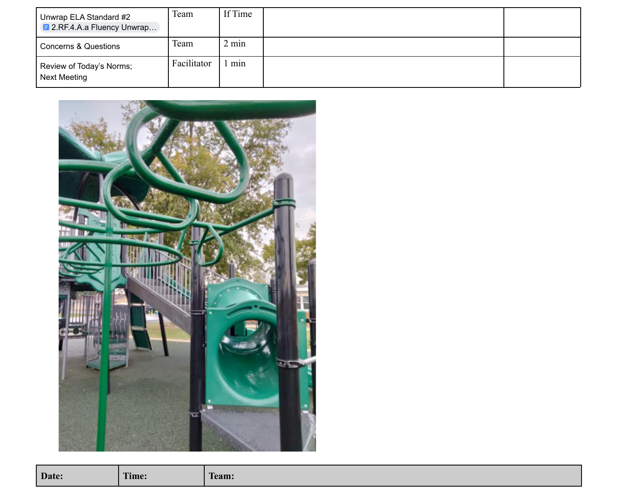| Unwrap ELA Standard #2<br><b>E</b> 2.RF.4.A.a Fluency Unwrap | Team        | If Time |  |
|--------------------------------------------------------------|-------------|---------|--|
| <b>Concerns &amp; Questions</b>                              | Team        | 2 min   |  |
| Review of Today's Norms;<br>Next Meeting                     | Facilitator | min     |  |



| Date:<br>T<br>l`eam:<br>l' <b>ime:</b> |
|----------------------------------------|
|----------------------------------------|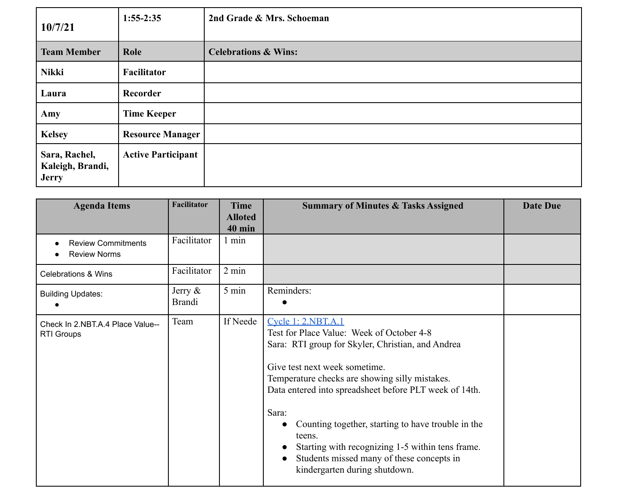| 10/7/21                                           | $1:55-2:35$               | 2nd Grade & Mrs. Schoeman       |
|---------------------------------------------------|---------------------------|---------------------------------|
| <b>Team Member</b>                                | Role                      | <b>Celebrations &amp; Wins:</b> |
| <b>Nikki</b>                                      | Facilitator               |                                 |
| Laura                                             | Recorder                  |                                 |
| Amy                                               | <b>Time Keeper</b>        |                                 |
| <b>Kelsey</b>                                     | <b>Resource Manager</b>   |                                 |
| Sara, Rachel,<br>Kaleigh, Brandi,<br><b>Jerry</b> | <b>Active Participant</b> |                                 |

| <b>Agenda Items</b>                                   | <b>Facilitator</b>          | Time<br><b>Alloted</b><br><b>40 min</b> | <b>Summary of Minutes &amp; Tasks Assigned</b>                                                                                                                                                                                                                                                                                                                                                                                                                               | <b>Date Due</b> |
|-------------------------------------------------------|-----------------------------|-----------------------------------------|------------------------------------------------------------------------------------------------------------------------------------------------------------------------------------------------------------------------------------------------------------------------------------------------------------------------------------------------------------------------------------------------------------------------------------------------------------------------------|-----------------|
| <b>Review Commitments</b><br><b>Review Norms</b>      | Facilitator                 | 1 min                                   |                                                                                                                                                                                                                                                                                                                                                                                                                                                                              |                 |
| <b>Celebrations &amp; Wins</b>                        | Facilitator                 | $2 \text{ min}$                         |                                                                                                                                                                                                                                                                                                                                                                                                                                                                              |                 |
| <b>Building Updates:</b>                              | Jerry $\&$<br><b>Brandi</b> | 5 min                                   | Reminders:                                                                                                                                                                                                                                                                                                                                                                                                                                                                   |                 |
| Check In 2.NBT.A.4 Place Value--<br><b>RTI Groups</b> | Team                        | If Neede                                | Cycle 1: 2.NBT.A.1<br>Test for Place Value: Week of October 4-8<br>Sara: RTI group for Skyler, Christian, and Andrea<br>Give test next week sometime.<br>Temperature checks are showing silly mistakes.<br>Data entered into spreadsheet before PLT week of 14th.<br>Sara:<br>Counting together, starting to have trouble in the<br>teens.<br>Starting with recognizing 1-5 within tens frame.<br>Students missed many of these concepts in<br>kindergarten during shutdown. |                 |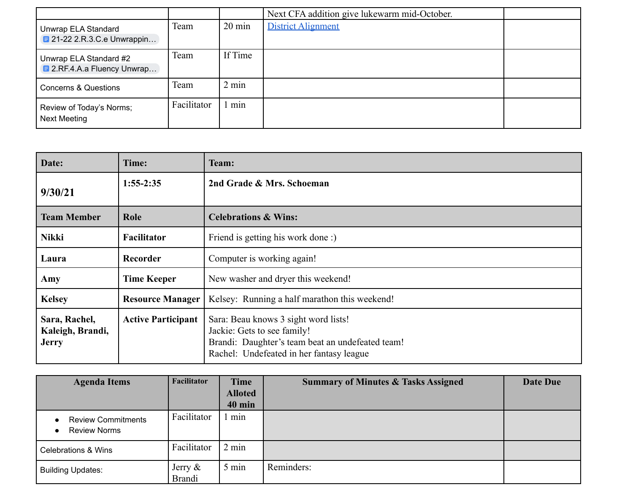|                                                              |             |                  | Next CFA addition give lukewarm mid-October. |  |
|--------------------------------------------------------------|-------------|------------------|----------------------------------------------|--|
| Unwrap ELA Standard<br><b>E</b> 21-22 2.R.3.C.e Unwrappin    | Team        | $20 \text{ min}$ | <b>District Alignment</b>                    |  |
| Unwrap ELA Standard #2<br><b>E</b> 2.RF.4.A.a Fluency Unwrap | Team        | If Time          |                                              |  |
| <b>Concerns &amp; Questions</b>                              | Team        | $2 \text{ min}$  |                                              |  |
| Review of Today's Norms;<br><b>Next Meeting</b>              | Facilitator | min              |                                              |  |

| Date:                                             | Time:                     | Team:                                                                                                                                                               |
|---------------------------------------------------|---------------------------|---------------------------------------------------------------------------------------------------------------------------------------------------------------------|
| 9/30/21                                           | $1:55-2:35$               | 2nd Grade & Mrs. Schoeman                                                                                                                                           |
| <b>Team Member</b>                                | Role                      | <b>Celebrations &amp; Wins:</b>                                                                                                                                     |
| Nikki                                             | <b>Facilitator</b>        | Friend is getting his work done:)                                                                                                                                   |
| Laura                                             | Recorder                  | Computer is working again!                                                                                                                                          |
| Amy                                               | <b>Time Keeper</b>        | New washer and dryer this weekend!                                                                                                                                  |
| <b>Kelsey</b>                                     | <b>Resource Manager</b>   | Kelsey: Running a half marathon this weekend!                                                                                                                       |
| Sara, Rachel,<br>Kaleigh, Brandi,<br><b>Jerry</b> | <b>Active Participant</b> | Sara: Beau knows 3 sight word lists!<br>Jackie: Gets to see family!<br>Brandi: Daughter's team beat an undefeated team!<br>Rachel: Undefeated in her fantasy league |

| <b>Agenda Items</b>                              | <b>Facilitator</b>          | <b>Time</b>     | <b>Summary of Minutes &amp; Tasks Assigned</b> | Date Due |
|--------------------------------------------------|-----------------------------|-----------------|------------------------------------------------|----------|
|                                                  |                             | <b>Alloted</b>  |                                                |          |
|                                                  |                             | <b>40 min</b>   |                                                |          |
| <b>Review Commitments</b><br><b>Review Norms</b> | Facilitator                 | min             |                                                |          |
| <b>Celebrations &amp; Wins</b>                   | Facilitator                 | $2 \text{ min}$ |                                                |          |
| <b>Building Updates:</b>                         | Jerry $\&$<br><b>Brandi</b> | 5 min           | Reminders:                                     |          |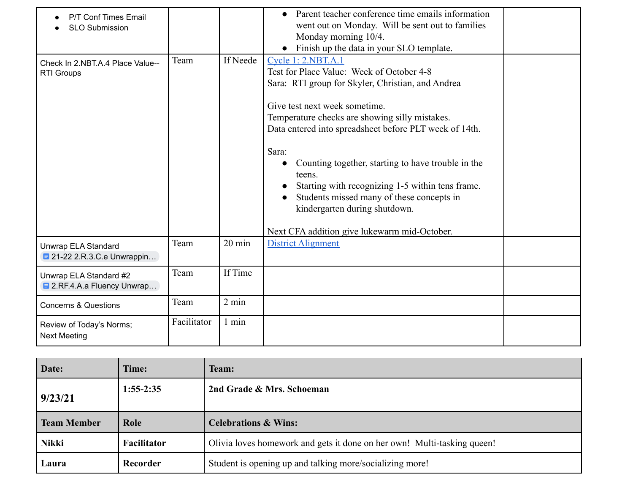| P/T Conf Times Email<br><b>SLO Submission</b>                |             |                  | Parent teacher conference time emails information<br>went out on Monday. Will be sent out to families<br>Monday morning 10/4.<br>Finish up the data in your SLO template.                                                                                                                                                                                                                                                                                                                                                    |
|--------------------------------------------------------------|-------------|------------------|------------------------------------------------------------------------------------------------------------------------------------------------------------------------------------------------------------------------------------------------------------------------------------------------------------------------------------------------------------------------------------------------------------------------------------------------------------------------------------------------------------------------------|
| Check In 2.NBT.A.4 Place Value--<br><b>RTI Groups</b>        | Team        | If Neede         | Cycle 1: 2.NBT.A.1<br>Test for Place Value: Week of October 4-8<br>Sara: RTI group for Skyler, Christian, and Andrea<br>Give test next week sometime.<br>Temperature checks are showing silly mistakes.<br>Data entered into spreadsheet before PLT week of 14th.<br>Sara:<br>Counting together, starting to have trouble in the<br>teens.<br>Starting with recognizing 1-5 within tens frame.<br>Students missed many of these concepts in<br>kindergarten during shutdown.<br>Next CFA addition give lukewarm mid-October. |
| Unwrap ELA Standard<br><b>■ 21-22 2.R.3.C.e Unwrappin</b>    | Team        | $20 \text{ min}$ | <b>District Alignment</b>                                                                                                                                                                                                                                                                                                                                                                                                                                                                                                    |
| Unwrap ELA Standard #2<br><b>E</b> 2.RF.4.A.a Fluency Unwrap | Team        | If Time          |                                                                                                                                                                                                                                                                                                                                                                                                                                                                                                                              |
| <b>Concerns &amp; Questions</b>                              | Team        | 2 min            |                                                                                                                                                                                                                                                                                                                                                                                                                                                                                                                              |
| Review of Today's Norms;<br><b>Next Meeting</b>              | Facilitator | 1 min            |                                                                                                                                                                                                                                                                                                                                                                                                                                                                                                                              |

| Date:              | Time:       | Team:                                                                   |
|--------------------|-------------|-------------------------------------------------------------------------|
| 9/23/21            | $1:55-2:35$ | 2nd Grade & Mrs. Schoeman                                               |
| <b>Team Member</b> | Role        | <b>Celebrations &amp; Wins:</b>                                         |
| <b>Nikki</b>       | Facilitator | Olivia loves homework and gets it done on her own! Multi-tasking queen! |
| Laura              | Recorder    | Student is opening up and talking more/socializing more!                |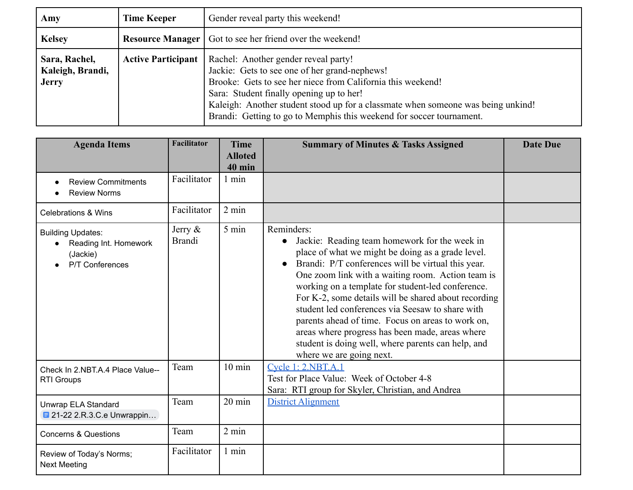| Amy                                               | <b>Time Keeper</b>        | Gender reveal party this weekend!                                                                                                                                                                                                                                                                                                                            |
|---------------------------------------------------|---------------------------|--------------------------------------------------------------------------------------------------------------------------------------------------------------------------------------------------------------------------------------------------------------------------------------------------------------------------------------------------------------|
| <b>Kelsey</b>                                     |                           | <b>Resource Manager</b>   Got to see her friend over the weekend!                                                                                                                                                                                                                                                                                            |
| Sara, Rachel,<br>Kaleigh, Brandi,<br><b>Jerry</b> | <b>Active Participant</b> | Rachel: Another gender reveal party!<br>Jackie: Gets to see one of her grand-nephews!<br>Brooke: Gets to see her niece from California this weekend!<br>Sara: Student finally opening up to her!<br>Kaleigh: Another student stood up for a classmate when someone was being unkind!<br>Brandi: Getting to go to Memphis this weekend for soccer tournament. |

| <b>Agenda Items</b>                                                              | <b>Facilitator</b>          | <b>Time</b>                     | <b>Summary of Minutes &amp; Tasks Assigned</b>                                                                                                                                                                                                                                                                                                                                                                                                                                                                                                                                                      | <b>Date Due</b> |
|----------------------------------------------------------------------------------|-----------------------------|---------------------------------|-----------------------------------------------------------------------------------------------------------------------------------------------------------------------------------------------------------------------------------------------------------------------------------------------------------------------------------------------------------------------------------------------------------------------------------------------------------------------------------------------------------------------------------------------------------------------------------------------------|-----------------|
|                                                                                  |                             | <b>Alloted</b><br><b>40 min</b> |                                                                                                                                                                                                                                                                                                                                                                                                                                                                                                                                                                                                     |                 |
| <b>Review Commitments</b><br><b>Review Norms</b>                                 | Facilitator                 | 1 min                           |                                                                                                                                                                                                                                                                                                                                                                                                                                                                                                                                                                                                     |                 |
| <b>Celebrations &amp; Wins</b>                                                   | Facilitator                 | $2 \text{ min}$                 |                                                                                                                                                                                                                                                                                                                                                                                                                                                                                                                                                                                                     |                 |
| <b>Building Updates:</b><br>Reading Int. Homework<br>(Jackie)<br>P/T Conferences | Jerry $\&$<br><b>Brandi</b> | 5 min                           | Reminders:<br>Jackie: Reading team homework for the week in<br>$\bullet$<br>place of what we might be doing as a grade level.<br>Brandi: P/T conferences will be virtual this year.<br>One zoom link with a waiting room. Action team is<br>working on a template for student-led conference.<br>For K-2, some details will be shared about recording<br>student led conferences via Seesaw to share with<br>parents ahead of time. Focus on areas to work on,<br>areas where progress has been made, areas where<br>student is doing well, where parents can help, and<br>where we are going next. |                 |
| Check In 2.NBT.A.4 Place Value--<br><b>RTI Groups</b>                            | Team                        | $10 \text{ min}$                | <b>Cycle 1: 2.NBT.A.1</b><br>Test for Place Value: Week of October 4-8<br>Sara: RTI group for Skyler, Christian, and Andrea                                                                                                                                                                                                                                                                                                                                                                                                                                                                         |                 |
| Unwrap ELA Standard<br><b>E</b> 21-22 2.R.3.C.e Unwrappin                        | Team                        | 20 min                          | <b>District Alignment</b>                                                                                                                                                                                                                                                                                                                                                                                                                                                                                                                                                                           |                 |
| <b>Concerns &amp; Questions</b>                                                  | Team                        | $2 \text{ min}$                 |                                                                                                                                                                                                                                                                                                                                                                                                                                                                                                                                                                                                     |                 |
| Review of Today's Norms;<br><b>Next Meeting</b>                                  | Facilitator                 | 1 min                           |                                                                                                                                                                                                                                                                                                                                                                                                                                                                                                                                                                                                     |                 |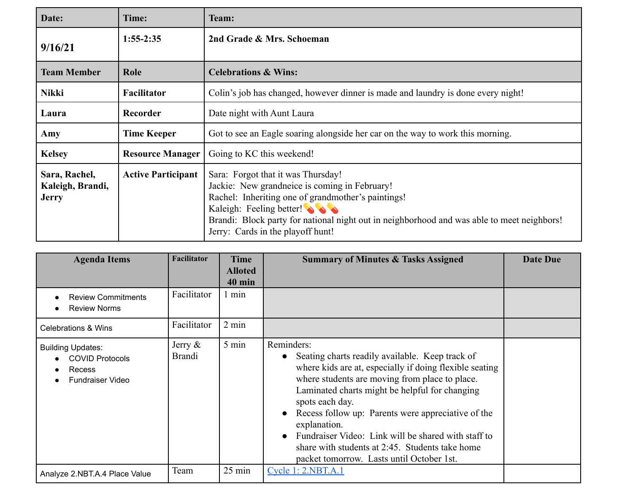| Date:                                             | Time:                     | Team:                                                                                                                                                                                                                                                                                                    |
|---------------------------------------------------|---------------------------|----------------------------------------------------------------------------------------------------------------------------------------------------------------------------------------------------------------------------------------------------------------------------------------------------------|
| 9/16/21                                           | $1:55-2:35$               | 2nd Grade & Mrs. Schoeman                                                                                                                                                                                                                                                                                |
| <b>Team Member</b>                                | Role                      | <b>Celebrations &amp; Wins:</b>                                                                                                                                                                                                                                                                          |
| <b>Nikki</b>                                      | <b>Facilitator</b>        | Colin's job has changed, however dinner is made and laundry is done every night!                                                                                                                                                                                                                         |
| Laura                                             | Recorder                  | Date night with Aunt Laura                                                                                                                                                                                                                                                                               |
| Amy                                               | Time Keeper               | Got to see an Eagle soaring alongside her car on the way to work this morning.                                                                                                                                                                                                                           |
| <b>Kelsey</b>                                     | <b>Resource Manager</b>   | Going to KC this weekend!                                                                                                                                                                                                                                                                                |
| Sara, Rachel,<br>Kaleigh, Brandi,<br><b>Jerry</b> | <b>Active Participant</b> | Sara: Forgot that it was Thursday!<br>Jackie: New grandneice is coming in February!<br>Rachel: Inheriting one of grandmother's paintings!<br>Kaleigh: Feeling better!<br>Brandi: Block party for national night out in neighborhood and was able to meet neighbors!<br>Jerry: Cards in the playoff hunt! |

| <b>Agenda Items</b>                                                                     | Facilitator                 | <b>Time</b><br><b>Alloted</b><br><b>40 min</b> | <b>Summary of Minutes &amp; Tasks Assigned</b>                                                                                                                                                                                                                                                                                                                                                                                                                               | <b>Date Due</b> |
|-----------------------------------------------------------------------------------------|-----------------------------|------------------------------------------------|------------------------------------------------------------------------------------------------------------------------------------------------------------------------------------------------------------------------------------------------------------------------------------------------------------------------------------------------------------------------------------------------------------------------------------------------------------------------------|-----------------|
| <b>Review Commitments</b><br><b>Review Norms</b>                                        | Facilitator                 | 1 min                                          |                                                                                                                                                                                                                                                                                                                                                                                                                                                                              |                 |
| <b>Celebrations &amp; Wins</b>                                                          | Facilitator                 | $2 \text{ min}$                                |                                                                                                                                                                                                                                                                                                                                                                                                                                                                              |                 |
| <b>Building Updates:</b><br><b>COVID Protocols</b><br>Recess<br><b>Fundraiser Video</b> | Jerry $\&$<br><b>Brandi</b> | $5 \text{ min}$                                | Reminders:<br>Seating charts readily available. Keep track of<br>where kids are at, especially if doing flexible seating<br>where students are moving from place to place.<br>Laminated charts might be helpful for changing<br>spots each day.<br>Recess follow up: Parents were appreciative of the<br>explanation.<br>Fundraiser Video: Link will be shared with staff to<br>share with students at 2:45. Students take home<br>packet tomorrow. Lasts until October 1st. |                 |
| Analyze 2.NBT.A.4 Place Value                                                           | Team                        | $25 \text{ min}$                               | <b>Cycle 1: 2.NBT.A.1</b>                                                                                                                                                                                                                                                                                                                                                                                                                                                    |                 |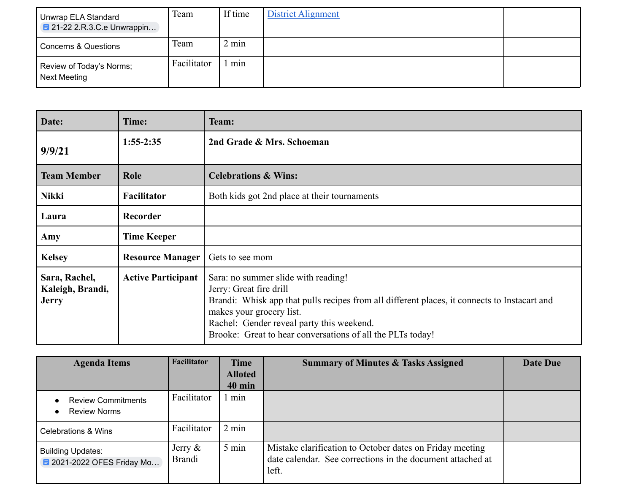| Unwrap ELA Standard<br>$\blacksquare$ 21-22 2.R.3.C.e Unwrappin | Team        | If time | District Alignment |  |
|-----------------------------------------------------------------|-------------|---------|--------------------|--|
| <b>Concerns &amp; Questions</b>                                 | Team        | 2 min   |                    |  |
| Review of Today's Norms;<br>Next Meeting                        | Facilitator | min     |                    |  |

| Date:                                             | Time:                     | Team:                                                                                                                                                                                                                                                                                                 |
|---------------------------------------------------|---------------------------|-------------------------------------------------------------------------------------------------------------------------------------------------------------------------------------------------------------------------------------------------------------------------------------------------------|
| 9/9/21                                            | $1:55-2:35$               | 2nd Grade & Mrs. Schoeman                                                                                                                                                                                                                                                                             |
| <b>Team Member</b>                                | Role                      | <b>Celebrations &amp; Wins:</b>                                                                                                                                                                                                                                                                       |
| <b>Nikki</b>                                      | <b>Facilitator</b>        | Both kids got 2nd place at their tournaments                                                                                                                                                                                                                                                          |
| Laura                                             | <b>Recorder</b>           |                                                                                                                                                                                                                                                                                                       |
| Amy                                               | <b>Time Keeper</b>        |                                                                                                                                                                                                                                                                                                       |
| <b>Kelsey</b>                                     | <b>Resource Manager</b>   | Gets to see mom                                                                                                                                                                                                                                                                                       |
| Sara, Rachel,<br>Kaleigh, Brandi,<br><b>Jerry</b> | <b>Active Participant</b> | Sara: no summer slide with reading!<br>Jerry: Great fire drill<br>Brandi: Whisk app that pulls recipes from all different places, it connects to Instacart and<br>makes your grocery list.<br>Rachel: Gender reveal party this weekend.<br>Brooke: Great to hear conversations of all the PLTs today! |

| <b>Agenda Items</b>                                    | Facilitator                 | <b>Time</b><br><b>Alloted</b> | <b>Summary of Minutes &amp; Tasks Assigned</b>                                                                                  | Date Due |
|--------------------------------------------------------|-----------------------------|-------------------------------|---------------------------------------------------------------------------------------------------------------------------------|----------|
|                                                        |                             | <b>40 min</b>                 |                                                                                                                                 |          |
| <b>Review Commitments</b><br><b>Review Norms</b>       | Facilitator                 | min                           |                                                                                                                                 |          |
| Celebrations & Wins                                    | Facilitator                 | $2 \text{ min}$               |                                                                                                                                 |          |
| <b>Building Updates:</b><br>■ 2021-2022 OFES Friday Mo | Jerry $\&$<br><b>Brandi</b> | 5 min                         | Mistake clarification to October dates on Friday meeting<br>date calendar. See corrections in the document attached at<br>left. |          |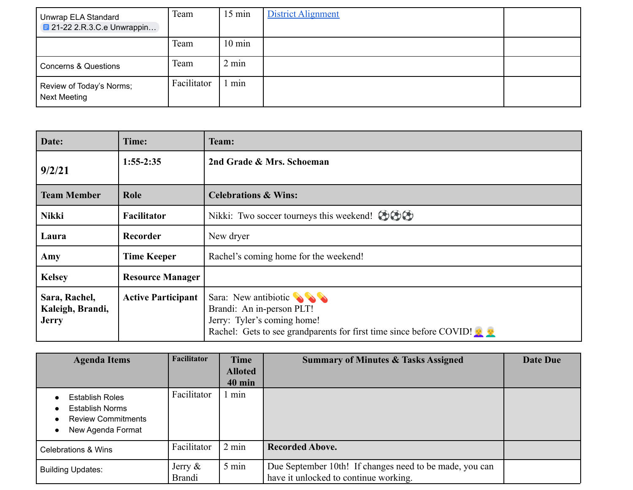| Unwrap ELA Standard<br><b>E</b> 21-22 2.R.3.C.e Unwrappin | Team        | $15 \text{ min}$ | <b>District Alignment</b> |  |
|-----------------------------------------------------------|-------------|------------------|---------------------------|--|
|                                                           | Team        | $10 \text{ min}$ |                           |  |
| <b>Concerns &amp; Questions</b>                           | Team        | $2 \text{ min}$  |                           |  |
| Review of Today's Norms;<br><b>Next Meeting</b>           | Facilitator | min              |                           |  |

| Date:                                             | Time:                     | Team:                                                                                                                                                                |  |  |  |
|---------------------------------------------------|---------------------------|----------------------------------------------------------------------------------------------------------------------------------------------------------------------|--|--|--|
| 9/2/21                                            | $1:55-2:35$               | 2nd Grade & Mrs. Schoeman                                                                                                                                            |  |  |  |
| <b>Team Member</b>                                | Role                      | <b>Celebrations &amp; Wins:</b>                                                                                                                                      |  |  |  |
| <b>Nikki</b>                                      | <b>Facilitator</b>        | Nikki: Two soccer tourneys this weekend! $\odot \odot \odot$                                                                                                         |  |  |  |
| Laura                                             | Recorder                  | New dryer                                                                                                                                                            |  |  |  |
| Amy                                               | <b>Time Keeper</b>        | Rachel's coming home for the weekend!                                                                                                                                |  |  |  |
| <b>Kelsey</b>                                     | <b>Resource Manager</b>   |                                                                                                                                                                      |  |  |  |
| Sara, Rachel,<br>Kaleigh, Brandi,<br><b>Jerry</b> | <b>Active Participant</b> | Sara: New antibiotic $\bigotimes$<br>Brandi: An in-person PLT!<br>Jerry: Tyler's coming home!<br>Rachel: Gets to see grandparents for first time since before COVID! |  |  |  |

| <b>Agenda Items</b>                                                                                | <b>Facilitator</b>          | <b>Time</b>     | <b>Summary of Minutes &amp; Tasks Assigned</b>                                                   | <b>Date Due</b> |
|----------------------------------------------------------------------------------------------------|-----------------------------|-----------------|--------------------------------------------------------------------------------------------------|-----------------|
|                                                                                                    |                             | <b>Alloted</b>  |                                                                                                  |                 |
|                                                                                                    |                             | <b>40 min</b>   |                                                                                                  |                 |
| <b>Establish Roles</b><br><b>Establish Norms</b><br><b>Review Commitments</b><br>New Agenda Format | Facilitator                 | min             |                                                                                                  |                 |
| <b>Celebrations &amp; Wins</b>                                                                     | Facilitator                 | $2 \text{ min}$ | <b>Recorded Above.</b>                                                                           |                 |
| <b>Building Updates:</b>                                                                           | Jerry $\&$<br><b>Brandi</b> | $5 \text{ min}$ | Due September 10th! If changes need to be made, you can<br>have it unlocked to continue working. |                 |